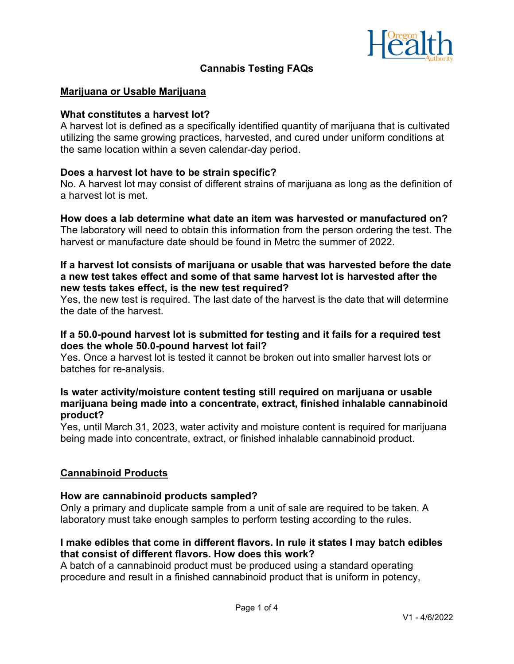

# **Cannabis Testing FAQs**

## **Marijuana or Usable Marijuana**

### **What constitutes a harvest lot?**

A harvest lot is defined as a specifically identified quantity of marijuana that is cultivated utilizing the same growing practices, harvested, and cured under uniform conditions at the same location within a seven calendar-day period.

## **Does a harvest lot have to be strain specific?**

No. A harvest lot may consist of different strains of marijuana as long as the definition of a harvest lot is met.

## **How does a lab determine what date an item was harvested or manufactured on?**

The laboratory will need to obtain this information from the person ordering the test. The harvest or manufacture date should be found in Metrc the summer of 2022.

## **If a harvest lot consists of marijuana or usable that was harvested before the date a new test takes effect and some of that same harvest lot is harvested after the new tests takes effect, is the new test required?**

Yes, the new test is required. The last date of the harvest is the date that will determine the date of the harvest.

# **If a 50.0-pound harvest lot is submitted for testing and it fails for a required test does the whole 50.0-pound harvest lot fail?**

Yes. Once a harvest lot is tested it cannot be broken out into smaller harvest lots or batches for re-analysis.

# **Is water activity/moisture content testing still required on marijuana or usable marijuana being made into a concentrate, extract, finished inhalable cannabinoid product?**

Yes, until March 31, 2023, water activity and moisture content is required for marijuana being made into concentrate, extract, or finished inhalable cannabinoid product.

# **Cannabinoid Products**

#### **How are cannabinoid products sampled?**

Only a primary and duplicate sample from a unit of sale are required to be taken. A laboratory must take enough samples to perform testing according to the rules.

# **I make edibles that come in different flavors. In rule it states I may batch edibles that consist of different flavors. How does this work?**

A batch of a cannabinoid product must be produced using a standard operating procedure and result in a finished cannabinoid product that is uniform in potency,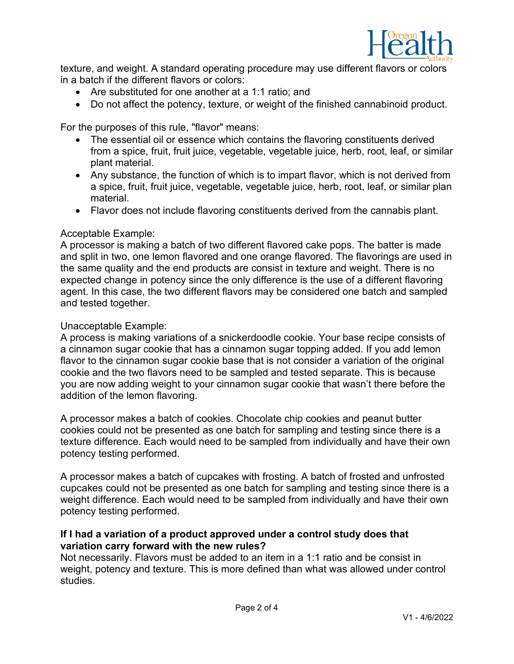

texture, and weight. A standard operating procedure may use different flavors or colors in a batch if the different flavors or colors:

- Are substituted for one another at a 1:1 ratio; and
- Do not affect the potency, texture, or weight of the finished cannabinoid product.

For the purposes of this rule, "flavor" means:

- The essential oil or essence which contains the flavoring constituents derived from a spice, fruit, fruit juice, vegetable, vegetable juice, herb, root, leaf, or similar plant material.
- Any substance, the function of which is to impart flavor, which is not derived from a spice, fruit, fruit juice, vegetable, vegetable juice, herb, root, leaf, or similar plan material.
- Flavor does not include flavoring constituents derived from the cannabis plant.

#### Acceptable Example:

A processor is making a batch of two different flavored cake pops. The batter is made and split in two, one lemon flavored and one orange flavored. The flavorings are used in the same quality and the end products are consist in texture and weight. There is no expected change in potency since the only difference is the use of a different flavoring agent. In this case, the two different flavors may be considered one batch and sampled and tested together.

## Unacceptable Example:

A process is making variations of a snickerdoodle cookie. Your base recipe consists of a cinnamon sugar cookie that has a cinnamon sugar topping added. If you add lemon flavor to the cinnamon sugar cookie base that is not consider a variation of the original cookie and the two flavors need to be sampled and tested separate. This is because you are now adding weight to your cinnamon sugar cookie that wasn't there before the addition of the lemon flavoring.

A processor makes a batch of cookies. Chocolate chip cookies and peanut butter cookies could not be presented as one batch for sampling and testing since there is a texture difference. Each would need to be sampled from individually and have their own potency testing performed.

A processor makes a batch of cupcakes with frosting. A batch of frosted and unfrosted cupcakes could not be presented as one batch for sampling and testing since there is a weight difference. Each would need to be sampled from individually and have their own potency testing performed.

# **If I had a variation of a product approved under a control study does that variation carry forward with the new rules?**

Not necessarily. Flavors must be added to an item in a 1:1 ratio and be consist in weight, potency and texture. This is more defined than what was allowed under control studies.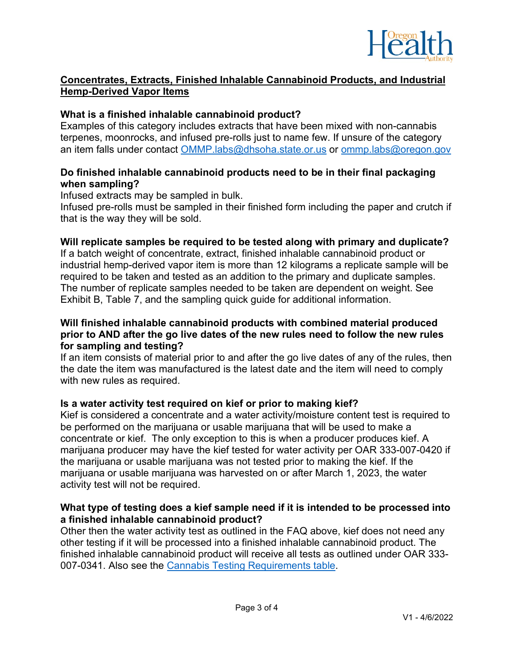

# **Concentrates, Extracts, Finished Inhalable Cannabinoid Products, and Industrial Hemp-Derived Vapor Items**

# **What is a finished inhalable cannabinoid product?**

Examples of this category includes extracts that have been mixed with non-cannabis terpenes, moonrocks, and infused pre-rolls just to name few. If unsure of the category an item falls under contact [OMMP.labs@dhsoha.state.or.us](mailto:OMMP.labs@dhsoha.state.or.us) or [ommp.labs@oregon.gov](mailto:ommp.labs@oregon.gov)

# **Do finished inhalable cannabinoid products need to be in their final packaging when sampling?**

Infused extracts may be sampled in bulk.

Infused pre-rolls must be sampled in their finished form including the paper and crutch if that is the way they will be sold.

# **Will replicate samples be required to be tested along with primary and duplicate?**

If a batch weight of concentrate, extract, finished inhalable cannabinoid product or industrial hemp-derived vapor item is more than 12 kilograms a replicate sample will be required to be taken and tested as an addition to the primary and duplicate samples. The number of replicate samples needed to be taken are dependent on weight. See Exhibit B, Table 7, and the sampling quick guide for additional information.

# **Will finished inhalable cannabinoid products with combined material produced prior to AND after the go live dates of the new rules need to follow the new rules for sampling and testing?**

If an item consists of material prior to and after the go live dates of any of the rules, then the date the item was manufactured is the latest date and the item will need to comply with new rules as required.

# **Is a water activity test required on kief or prior to making kief?**

Kief is considered a concentrate and a water activity/moisture content test is required to be performed on the marijuana or usable marijuana that will be used to make a concentrate or kief. The only exception to this is when a producer produces kief. A marijuana producer may have the kief tested for water activity per OAR 333-007-0420 if the marijuana or usable marijuana was not tested prior to making the kief. If the marijuana or usable marijuana was harvested on or after March 1, 2023, the water activity test will not be required.

# **What type of testing does a kief sample need if it is intended to be processed into a finished inhalable cannabinoid product?**

Other then the water activity test as outlined in the FAQ above, kief does not need any other testing if it will be processed into a finished inhalable cannabinoid product. The finished inhalable cannabinoid product will receive all tests as outlined under OAR 333- 007-0341. Also see the [Cannabis Testing Requirements table.](https://www.oregon.gov/oha/PH/DISEASESCONDITIONS/CHRONICDISEASE/MEDICALMARIJUANAPROGRAM/Documents/Cannabis_Testing_Quick_Guide.pdf)